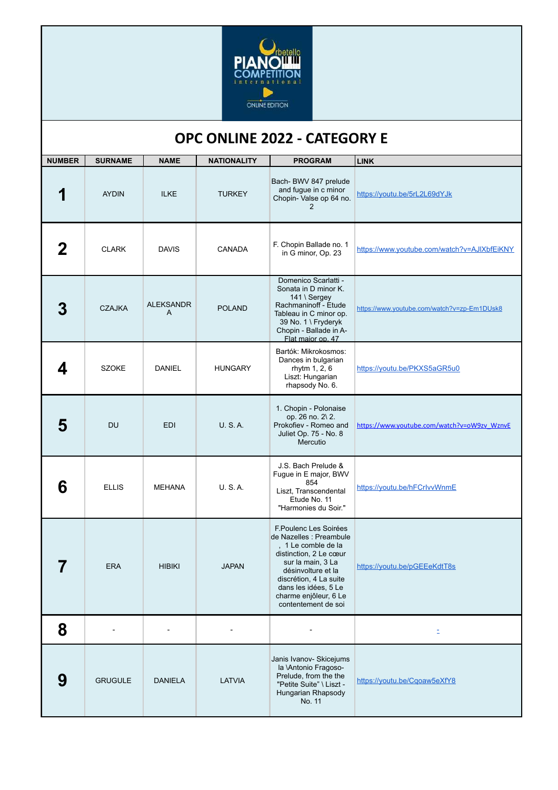

## **OPC ONLINE 2022 - CATEGORY E**

| <b>NUMBER</b> | <b>SURNAME</b> | <b>NAME</b>           | <b>NATIONALITY</b> | <b>PROGRAM</b>                                                                                                                                                                                                                                 | <b>LINK</b>                                 |
|---------------|----------------|-----------------------|--------------------|------------------------------------------------------------------------------------------------------------------------------------------------------------------------------------------------------------------------------------------------|---------------------------------------------|
|               | <b>AYDIN</b>   | <b>ILKE</b>           | <b>TURKEY</b>      | Bach- BWV 847 prelude<br>and fugue in c minor<br>Chopin- Valse op 64 no.<br>2                                                                                                                                                                  | https://youtu.be/5rL2L69dYJk                |
|               | <b>CLARK</b>   | <b>DAVIS</b>          | CANADA             | F. Chopin Ballade no. 1<br>in G minor, Op. 23                                                                                                                                                                                                  | https://www.youtube.com/watch?v=AJIXbfEiKNY |
|               | <b>CZAJKA</b>  | <b>ALEKSANDR</b><br>A | <b>POLAND</b>      | Domenico Scarlatti -<br>Sonata in D minor K.<br>141 \ Sergey<br>Rachmaninoff - Etude<br>Tableau in C minor op.<br>39 No. 1 \ Fryderyk<br>Chopin - Ballade in A-<br>Flat maior op. 47                                                           | https://www.youtube.com/watch?v=zp-Em1DUsk8 |
| 4             | <b>SZOKE</b>   | <b>DANIEL</b>         | <b>HUNGARY</b>     | Bartók: Mikrokosmos:<br>Dances in bulgarian<br>rhytm 1, 2, 6<br>Liszt: Hungarian<br>rhapsody No. 6.                                                                                                                                            | https://youtu.be/PKXS5aGR5u0                |
| 5             | DU             | <b>EDI</b>            | <b>U.S.A.</b>      | 1. Chopin - Polonaise<br>op. 26 no. 2\2.<br>Prokofiev - Romeo and<br>Juliet Op. 75 - No. 8<br>Mercutio                                                                                                                                         | https://www.youtube.com/watch?v=oW9zv_WznvE |
| 6             | <b>ELLIS</b>   | <b>MEHANA</b>         | <b>U.S.A.</b>      | J.S. Bach Prelude &<br>Fugue in E major, BWV<br>854<br>Liszt, Transcendental<br>Etude No. 11<br>"Harmonies du Soir."                                                                                                                           | https://youtu.be/hFCrlvvWnmE                |
|               | <b>ERA</b>     | <b>HIBIKI</b>         | <b>JAPAN</b>       | F.Poulenc Les Soirées<br>de Nazelles : Preambule<br>, 1 Le comble de la<br>distinction, 2 Le cœur<br>sur la main, 3 La<br>désinvolture et la<br>discrétion, 4 La suite<br>dans les idées, 5 Le<br>charme enjôleur, 6 Le<br>contentement de soi | https://youtu.be/pGEEeKdtT8s                |
| 8             |                |                       |                    |                                                                                                                                                                                                                                                | E.                                          |
| 9             | <b>GRUGULE</b> | <b>DANIELA</b>        | <b>LATVIA</b>      | Janis Ivanov- Skicejums<br>la VAntonio Fragoso-<br>Prelude, from the the<br>"Petite Suite" \ Liszt -<br>Hungarian Rhapsody<br>No. 11                                                                                                           | https://youtu.be/Cgoaw5eXfY8                |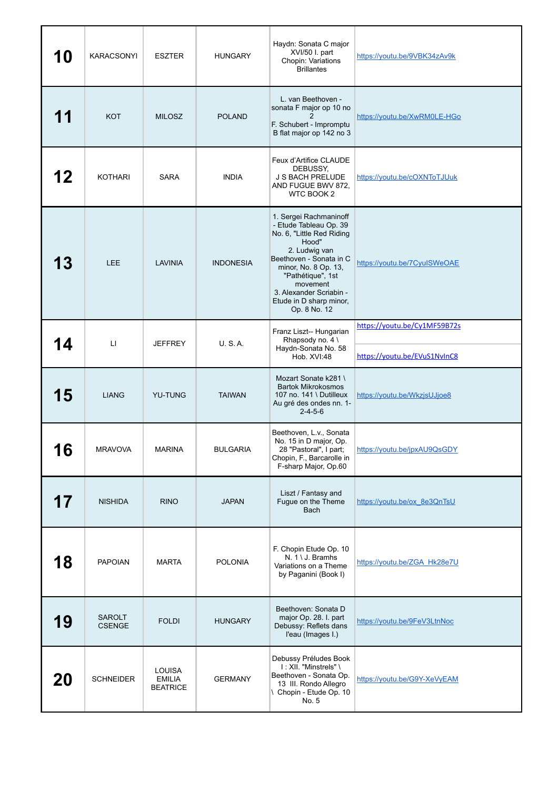| 10        | <b>KARACSONYI</b>              | <b>ESZTER</b>                                     | <b>HUNGARY</b>   | Haydn: Sonata C major<br>XVI/50 I. part<br>Chopin: Variations<br><b>Brillantes</b>                                                                                                                                                                                | https://youtu.be/9VBK34zAv9k                                 |
|-----------|--------------------------------|---------------------------------------------------|------------------|-------------------------------------------------------------------------------------------------------------------------------------------------------------------------------------------------------------------------------------------------------------------|--------------------------------------------------------------|
|           | <b>KOT</b>                     | <b>MILOSZ</b>                                     | <b>POLAND</b>    | L. van Beethoven -<br>sonata F major op 10 no<br>F. Schubert - Impromptu<br>B flat major op 142 no 3                                                                                                                                                              | https://youtu.be/XwRM0LE-HGo                                 |
| 12        | <b>KOTHARI</b>                 | <b>SARA</b>                                       | <b>INDIA</b>     | Feux d'Artifice CLAUDE<br>DEBUSSY,<br>J S BACH PRELUDE<br>AND FUGUE BWV 872,<br>WTC BOOK 2                                                                                                                                                                        | https://youtu.be/cOXNToTJUuk                                 |
| 13        | <b>LEE</b>                     | <b>LAVINIA</b>                                    | <b>INDONESIA</b> | 1. Sergei Rachmaninoff<br>- Etude Tableau Op. 39<br>No. 6, "Little Red Riding<br>Hood"<br>2. Ludwig van<br>Beethoven - Sonata in C<br>minor, No. 8 Op. 13,<br>"Pathétique", 1st<br>movement<br>3. Alexander Scriabin -<br>Etude in D sharp minor,<br>Op. 8 No. 12 | https://youtu.be/7CyulSWeOAE                                 |
| 14        | $\Box$                         | JEFFREY                                           | U.S.A.           | Franz Liszt-- Hungarian<br>Rhapsody no. 4 \<br>Haydn-Sonata No. 58                                                                                                                                                                                                | https://youtu.be/Cy1MF59B72s<br>https://youtu.be/EVuS1NvInC8 |
| 15        | <b>LIANG</b>                   | <b>YU-TUNG</b>                                    | <b>TAIWAN</b>    | Hob. XVI:48<br>Mozart Sonate k281 \<br><b>Bartok Mikrokosmos</b><br>107 no. 141 \ Dutilleux<br>Au gré des ondes nn. 1-<br>$2 - 4 - 5 - 6$                                                                                                                         | https://youtu.be/WkzjsUJjoe8                                 |
| <u>10</u> | <b>MRAVOVA</b>                 | <b>MARINA</b>                                     | <b>BULGARIA</b>  | Beethoven, L.v., Sonata<br>No. 15 in D major, Op.<br>28 "Pastoral", I part;<br>Chopin, F., Barcarolle in<br>F-sharp Major, Op.60                                                                                                                                  | https://youtu.be/jpxAU9QsGDY                                 |
| 17        | <b>NISHIDA</b>                 | <b>RINO</b>                                       | <b>JAPAN</b>     | Liszt / Fantasy and<br>Fugue on the Theme<br><b>Bach</b>                                                                                                                                                                                                          | https://youtu.be/ox 8e3QnTsU                                 |
| 18        | <b>PAPOIAN</b>                 | <b>MARTA</b>                                      | <b>POLONIA</b>   | F. Chopin Etude Op. 10<br>N. 1 \ J. Bramhs<br>Variations on a Theme<br>by Paganini (Book I)                                                                                                                                                                       | https://youtu.be/ZGA Hk28e7U                                 |
| 19        | <b>SAROLT</b><br><b>CSENGE</b> | <b>FOLDI</b>                                      | <b>HUNGARY</b>   | Beethoven: Sonata D<br>major Op. 28. I. part<br>Debussy: Reflets dans<br>l'eau (Images I.)                                                                                                                                                                        | https://youtu.be/9FeV3LtnNoc                                 |
| 20        | <b>SCHNEIDER</b>               | <b>LOUISA</b><br><b>EMILIA</b><br><b>BEATRICE</b> | <b>GERMANY</b>   | Debussy Préludes Book<br>I: XII. "Minstrels" \<br>Beethoven - Sonata Op.<br>13 III. Rondo Allegro<br>\ Chopin - Etude Op. 10<br>No. 5                                                                                                                             | https://youtu.be/G9Y-XeVyEAM                                 |